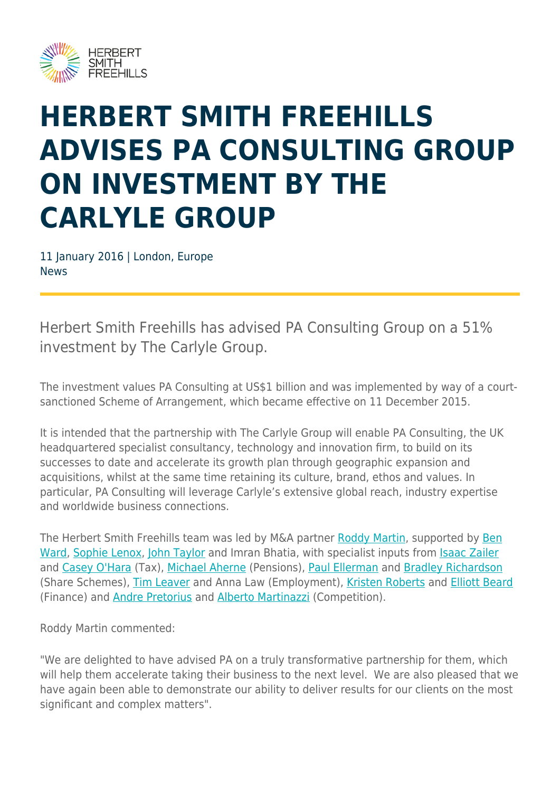

## **HERBERT SMITH FREEHILLS ADVISES PA CONSULTING GROUP ON INVESTMENT BY THE CARLYLE GROUP**

11 January 2016 | London, Europe News

Herbert Smith Freehills has advised PA Consulting Group on a 51% investment by The Carlyle Group.

The investment values PA Consulting at US\$1 billion and was implemented by way of a courtsanctioned Scheme of Arrangement, which became effective on 11 December 2015.

It is intended that the partnership with The Carlyle Group will enable PA Consulting, the UK headquartered specialist consultancy, technology and innovation firm, to build on its successes to date and accelerate its growth plan through geographic expansion and acquisitions, whilst at the same time retaining its culture, brand, ethos and values. In particular, PA Consulting will leverage Carlyle's extensive global reach, industry expertise and worldwide business connections.

The Herbert Smith Freehills team was led by M&A partner [Roddy Martin](https://www.herbertsmithfreehills.com/our-people/roddy-martin), supported by [Ben](https://www.herbertsmithfreehills.com/our-people/ben-ward) [Ward](https://www.herbertsmithfreehills.com/our-people/ben-ward), [Sophie Lenox,](https://www.herbertsmithfreehills.com/our-people/sophie-lenox) [John Taylor](https://www.herbertsmithfreehills.com/our-people/john-taylor) and Imran Bhatia, with specialist inputs from [Isaac Zailer](https://www.herbertsmithfreehills.com/our-people/isaac-zailer) and [Casey O'Hara](https://www.herbertsmithfreehills.com/our-people/casey-ohara) (Tax), [Michael Aherne](https://www.herbertsmithfreehills.com/our-people/michael-aherne) (Pensions), [Paul Ellerman](https://www.herbertsmithfreehills.com/our-people/paul-ellerman) and [Bradley Richardson](https://www.herbertsmithfreehills.com/our-people/bradley-richardson) (Share Schemes), [Tim Leaver](https://www.herbertsmithfreehills.com/our-people/tim-leaver) and Anna Law (Employment), [Kristen Roberts](https://www.herbertsmithfreehills.com/our-people/kristen-roberts) and [Elliott Beard](https://www.herbertsmithfreehills.com/our-people/elliot-beard) (Finance) and [Andre Pretorius](https://www.herbertsmithfreehills.com/our-people/andr%C3%A9-pretorius) and [Alberto Martinazzi](https://www.herbertsmithfreehills.com/our-people/alberto-martinazzi) (Competition).

Roddy Martin commented:

"We are delighted to have advised PA on a truly transformative partnership for them, which will help them accelerate taking their business to the next level. We are also pleased that we have again been able to demonstrate our ability to deliver results for our clients on the most significant and complex matters".